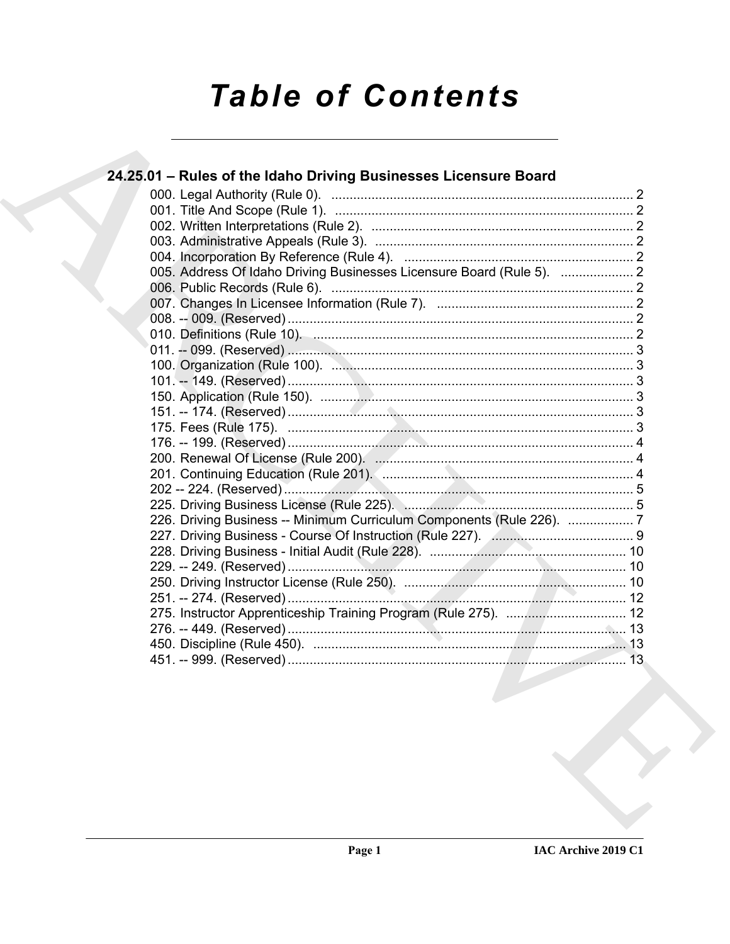# **Table of Contents**

| 24.25.01 - Rules of the Idaho Driving Businesses Licensure Board                                               |  |
|----------------------------------------------------------------------------------------------------------------|--|
|                                                                                                                |  |
|                                                                                                                |  |
|                                                                                                                |  |
|                                                                                                                |  |
|                                                                                                                |  |
| 005. Address Of Idaho Driving Businesses Licensure Board (Rule 5).  2                                          |  |
|                                                                                                                |  |
|                                                                                                                |  |
|                                                                                                                |  |
|                                                                                                                |  |
|                                                                                                                |  |
|                                                                                                                |  |
|                                                                                                                |  |
|                                                                                                                |  |
|                                                                                                                |  |
|                                                                                                                |  |
|                                                                                                                |  |
|                                                                                                                |  |
|                                                                                                                |  |
|                                                                                                                |  |
| 225. Driving Business License (Rule 225). Management and Strategy and Strategy and Strategy and Strategy and S |  |
| 226. Driving Business -- Minimum Curriculum Components (Rule 226). 7                                           |  |
|                                                                                                                |  |
|                                                                                                                |  |
|                                                                                                                |  |
|                                                                                                                |  |
|                                                                                                                |  |
|                                                                                                                |  |
|                                                                                                                |  |
|                                                                                                                |  |
|                                                                                                                |  |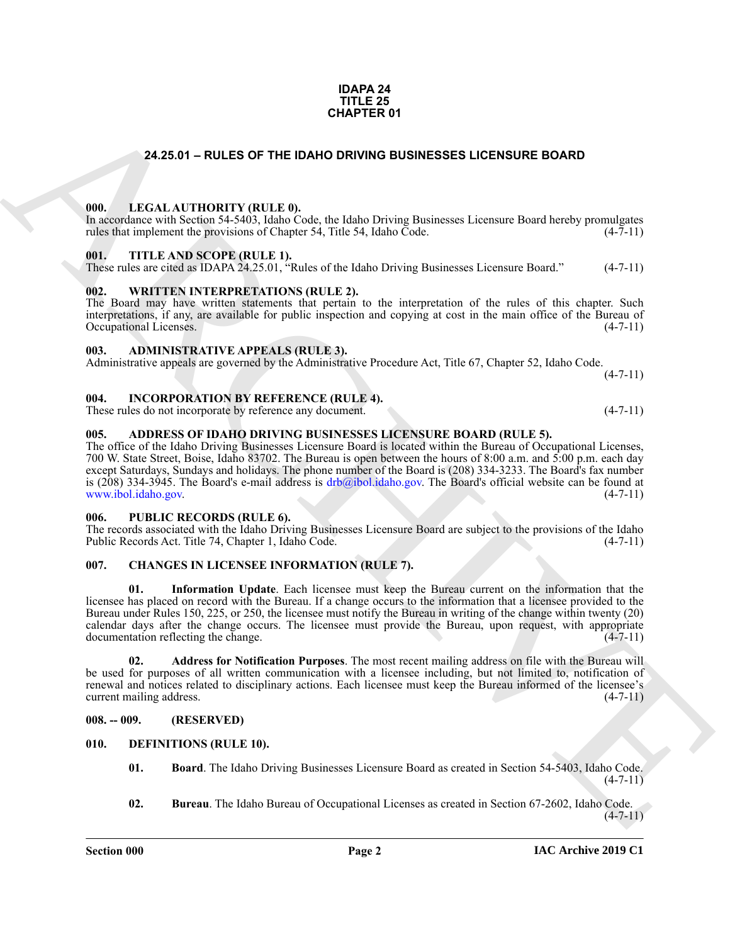### **IDAPA 24 TITLE 25 CHAPTER 01**

# **24.25.01 – RULES OF THE IDAHO DRIVING BUSINESSES LICENSURE BOARD**

### <span id="page-1-20"></span><span id="page-1-1"></span><span id="page-1-0"></span>**000. LEGAL AUTHORITY (RULE 0).**

In accordance with Section 54-5403, Idaho Code, the Idaho Driving Businesses Licensure Board hereby promulgates rules that implement the provisions of Chapter 54, Title 54, Idaho Code. (4-7-11)

### <span id="page-1-22"></span><span id="page-1-2"></span>**001. TITLE AND SCOPE (RULE 1).**

These rules are cited as IDAPA 24.25.01, "Rules of the Idaho Driving Businesses Licensure Board." (4-7-11)

### <span id="page-1-23"></span><span id="page-1-3"></span>**002. WRITTEN INTERPRETATIONS (RULE 2).**

The Board may have written statements that pertain to the interpretation of the rules of this chapter. Such interpretations, if any, are available for public inspection and copying at cost in the main office of the Bureau of Occupational Licenses.

### <span id="page-1-12"></span><span id="page-1-4"></span>**003. ADMINISTRATIVE APPEALS (RULE 3).**

Administrative appeals are governed by the Administrative Procedure Act, Title 67, Chapter 52, Idaho Code.  $(4 - 7 - 11)$ 

### <span id="page-1-19"></span><span id="page-1-5"></span>**004. INCORPORATION BY REFERENCE (RULE 4).**

These rules do not incorporate by reference any document. (4-7-11)

### <span id="page-1-11"></span><span id="page-1-6"></span>**005. ADDRESS OF IDAHO DRIVING BUSINESSES LICENSURE BOARD (RULE 5).**

The office of the Idaho Driving Businesses Licensure Board is located within the Bureau of Occupational Licenses, 700 W. State Street, Boise, Idaho 83702. The Bureau is open between the hours of 8:00 a.m. and 5:00 p.m. each day except Saturdays, Sundays and holidays. The phone number of the Board is (208) 334-3233. The Board's fax number is (208) 334-3945. The Board's e-mail address is  $drb@ibol.idaho.gov$ . The Board's official website can be found at www.ibol.idaho.gov. (4-7-11)

### <span id="page-1-21"></span><span id="page-1-7"></span>**006. PUBLIC RECORDS (RULE 6).**

The records associated with the Idaho Driving Businesses Licensure Board are subject to the provisions of the Idaho Public Records Act. Title 74, Chapter 1, Idaho Code. (4-7-11)

## <span id="page-1-15"></span><span id="page-1-13"></span><span id="page-1-8"></span>**007. CHANGES IN LICENSEE INFORMATION (RULE 7).**

**[CH](drb@ibol.idaho.gov)APTER 01**<br>
24.28.01 – RULES OF THE DAND DRIVING BUSINESSES LIGENSURE BOARD<br>
1991. In Case 1.1 (1992) – 1992. THE ANS SCOPE BUT LED.<br>
1991. THE ANS SCOPE BUT R (1). A Solution of the Solution of the Solution Character D **01. Information Update**. Each licensee must keep the Bureau current on the information that the licensee has placed on record with the Bureau. If a change occurs to the information that a licensee provided to the Bureau under Rules 150, 225, or 250, the licensee must notify the Bureau in writing of the change within twenty (20) calendar days after the change occurs. The licensee must provide the Bureau, upon request, with appropriate documentation reflecting the change. (4-7-11)

<span id="page-1-14"></span>**02. Address for Notification Purposes**. The most recent mailing address on file with the Bureau will be used for purposes of all written communication with a licensee including, but not limited to, notification of renewal and notices related to disciplinary actions. Each licensee must keep the Bureau informed of the licensee's current mailing address. (4-7-11)

## <span id="page-1-9"></span>**008. -- 009. (RESERVED)**

### <span id="page-1-10"></span>**010. DEFINITIONS (RULE 10).**

- <span id="page-1-17"></span><span id="page-1-16"></span>**01. Board**. The Idaho Driving Businesses Licensure Board as created in Section 54-5403, Idaho Code.  $(4 - 7 - 11)$
- <span id="page-1-18"></span>**02. Bureau**. The Idaho Bureau of Occupational Licenses as created in Section 67-2602, Idaho Code.  $(4 - 7 - 11)$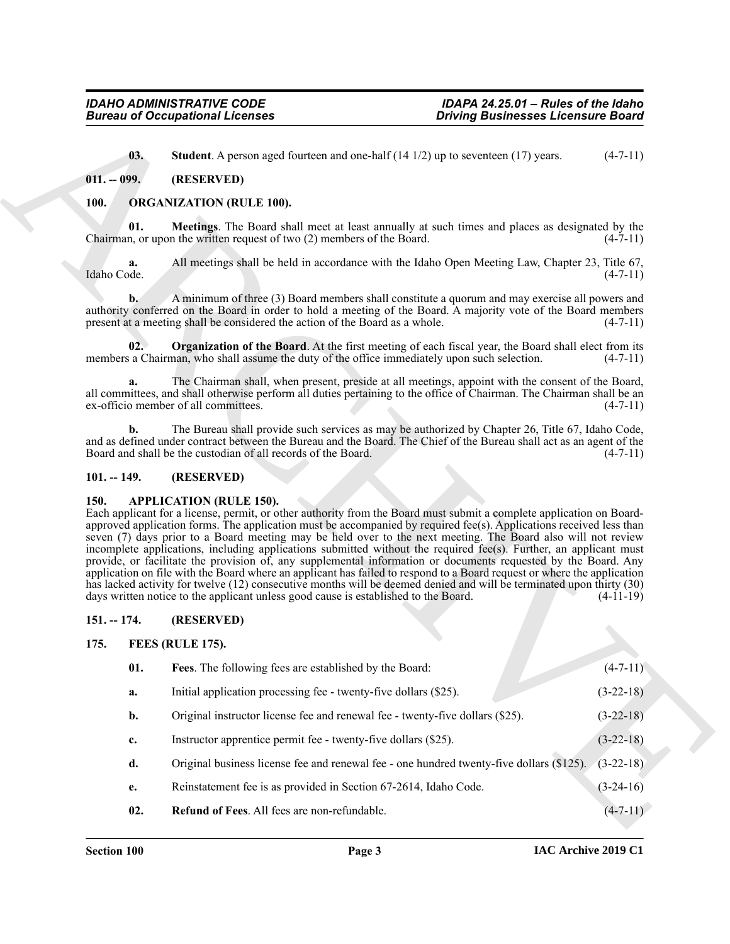# <span id="page-2-7"></span><span id="page-2-0"></span>**011. -- 099. (RESERVED)**

# <span id="page-2-12"></span><span id="page-2-11"></span><span id="page-2-10"></span><span id="page-2-1"></span>**100. ORGANIZATION (RULE 100).**

## <span id="page-2-2"></span>**101. -- 149. (RESERVED)**

## <span id="page-2-6"></span><span id="page-2-3"></span>**150. APPLICATION (RULE 150).**

# <span id="page-2-4"></span>**151. -- 174. (RESERVED)**

## <span id="page-2-9"></span><span id="page-2-8"></span><span id="page-2-5"></span>**175. FEES (RULE 175).**

|                   | <b>Bureau of Occupational Licenses</b>                                                                                                                                                                                                                                                                                                                                                                                                                                                                             | <b>Driving Businesses Licensure Board</b>                                                                      |                                                             |
|-------------------|--------------------------------------------------------------------------------------------------------------------------------------------------------------------------------------------------------------------------------------------------------------------------------------------------------------------------------------------------------------------------------------------------------------------------------------------------------------------------------------------------------------------|----------------------------------------------------------------------------------------------------------------|-------------------------------------------------------------|
| 03.               | <b>Student</b> . A person aged fourteen and one-half $(14 1/2)$ up to seventeen $(17)$ years.                                                                                                                                                                                                                                                                                                                                                                                                                      |                                                                                                                | $(4-7-11)$                                                  |
| $011. - 099.$     | (RESERVED)                                                                                                                                                                                                                                                                                                                                                                                                                                                                                                         |                                                                                                                |                                                             |
| <b>100.</b>       | <b>ORGANIZATION (RULE 100).</b>                                                                                                                                                                                                                                                                                                                                                                                                                                                                                    |                                                                                                                |                                                             |
| 01.               | Meetings. The Board shall meet at least annually at such times and places as designated by the<br>Chairman, or upon the written request of two (2) members of the Board.                                                                                                                                                                                                                                                                                                                                           |                                                                                                                | $(4-7-11)$                                                  |
| a.<br>Idaho Code. | All meetings shall be held in accordance with the Idaho Open Meeting Law, Chapter 23, Title 67,                                                                                                                                                                                                                                                                                                                                                                                                                    |                                                                                                                | $(4-7-11)$                                                  |
| $\mathbf{b}$ .    | A minimum of three (3) Board members shall constitute a quorum and may exercise all powers and<br>authority conferred on the Board in order to hold a meeting of the Board. A majority vote of the Board members<br>present at a meeting shall be considered the action of the Board as a whole.                                                                                                                                                                                                                   |                                                                                                                | $(4-7-11)$                                                  |
| 02.               | <b>Organization of the Board.</b> At the first meeting of each fiscal year, the Board shall elect from its<br>members a Chairman, who shall assume the duty of the office immediately upon such selection.                                                                                                                                                                                                                                                                                                         |                                                                                                                | $(4-7-11)$                                                  |
| a.                | The Chairman shall, when present, preside at all meetings, appoint with the consent of the Board,<br>all committees, and shall otherwise perform all duties pertaining to the office of Chairman. The Chairman shall be an<br>ex-officio member of all committees.                                                                                                                                                                                                                                                 |                                                                                                                | $(4-7-11)$                                                  |
| $\mathbf{b}$ .    | The Bureau shall provide such services as may be authorized by Chapter 26, Title 67, Idaho Code,<br>and as defined under contract between the Bureau and the Board. The Chief of the Bureau shall act as an agent of the<br>Board and shall be the custodian of all records of the Board.                                                                                                                                                                                                                          |                                                                                                                | $(4-7-11)$                                                  |
| $101. - 149.$     | (RESERVED)                                                                                                                                                                                                                                                                                                                                                                                                                                                                                                         |                                                                                                                |                                                             |
| <b>150.</b>       | <b>APPLICATION (RULE 150).</b><br>Each applicant for a license, permit, or other authority from the Board must submit a complete application on Board-<br>approved application forms. The application must be accompanied by required fee(s). Applications received less than<br>seven (7) days prior to a Board meeting may be held over to the next meeting. The Board also will not review<br>incomplete applications, including applications submitted without the required fee(s). Further, an applicant must |                                                                                                                |                                                             |
|                   | application on file with the Board where an applicant has failed to respond to a Board request or where the application<br>has lacked activity for twelve (12) consecutive months will be deemed denied and will be terminated upon thirty (30)<br>days written notice to the applicant unless good cause is established to the Board.                                                                                                                                                                             | provide, or facilitate the provision of, any supplemental information or documents requested by the Board. Any |                                                             |
| $151. - 174.$     | (RESERVED)                                                                                                                                                                                                                                                                                                                                                                                                                                                                                                         |                                                                                                                |                                                             |
| 175.              | FEES (RULE 175).                                                                                                                                                                                                                                                                                                                                                                                                                                                                                                   |                                                                                                                |                                                             |
| 01.               | Fees. The following fees are established by the Board:                                                                                                                                                                                                                                                                                                                                                                                                                                                             |                                                                                                                |                                                             |
| a.                | Initial application processing fee - twenty-five dollars (\$25).                                                                                                                                                                                                                                                                                                                                                                                                                                                   |                                                                                                                |                                                             |
| b.                | Original instructor license fee and renewal fee - twenty-five dollars (\$25).                                                                                                                                                                                                                                                                                                                                                                                                                                      |                                                                                                                | $(4-11-19)$<br>$(4 - 7 - 11)$<br>$(3-22-18)$<br>$(3-22-18)$ |
| c.                | Instructor apprentice permit fee - twenty-five dollars (\$25).                                                                                                                                                                                                                                                                                                                                                                                                                                                     |                                                                                                                | $(3-22-18)$                                                 |
| d.                | Original business license fee and renewal fee - one hundred twenty-five dollars (\$125).                                                                                                                                                                                                                                                                                                                                                                                                                           |                                                                                                                | $(3-22-18)$                                                 |
| e.                | Reinstatement fee is as provided in Section 67-2614, Idaho Code.                                                                                                                                                                                                                                                                                                                                                                                                                                                   |                                                                                                                | $(3-24-16)$                                                 |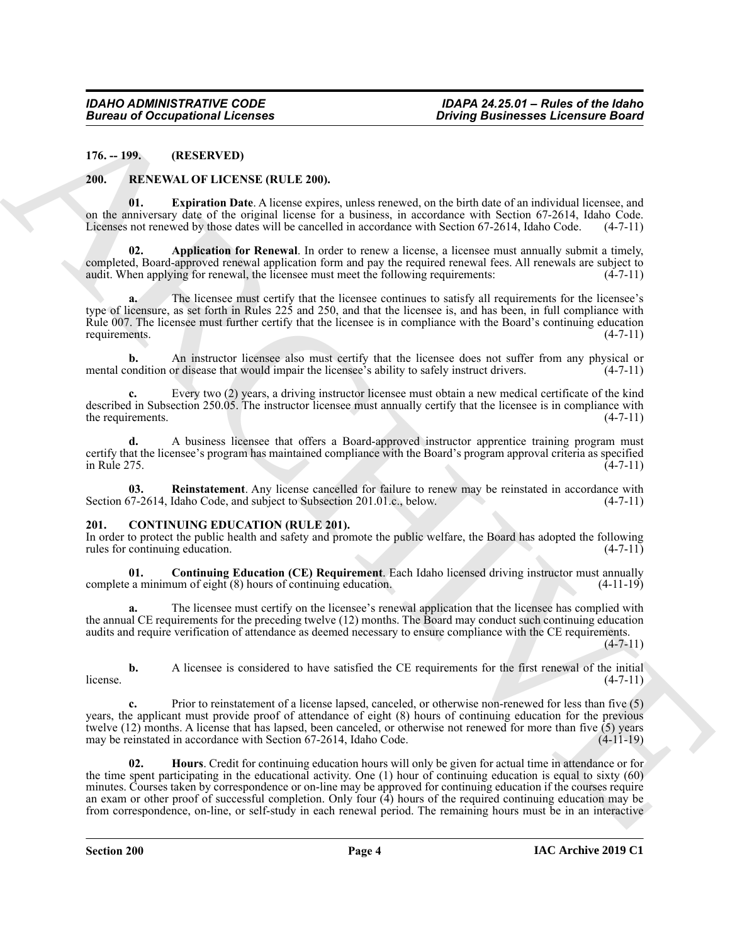<span id="page-3-0"></span>**176. -- 199. (RESERVED)**

### <span id="page-3-8"></span><span id="page-3-6"></span><span id="page-3-1"></span>**200. RENEWAL OF LICENSE (RULE 200).**

**01. Expiration Date**. A license expires, unless renewed, on the birth date of an individual licensee, and on the anniversary date of the original license for a business, in accordance with Section 67-2614, Idaho Code. Licenses not renewed by those dates will be cancelled in accordance with Section 67-2614, Idaho Code. (4-7-11)

<span id="page-3-7"></span>**02. Application for Renewal**. In order to renew a license, a licensee must annually submit a timely, completed, Board-approved renewal application form and pay the required renewal fees. All renewals are subject to audit. When applying for renewal, the licensee must meet the following requirements: (4-7-11)

**a.** The licensee must certify that the licensee continues to satisfy all requirements for the licensee's type of licensure, as set forth in Rules 225 and 250, and that the licensee is, and has been, in full compliance with Rule 007. The licensee must further certify that the licensee is in compliance with the Board's continuing education requirements.  $(4-7-11)$ requirements.

**b.** An instructor licensee also must certify that the licensee does not suffer from any physical or mental condition or disease that would impair the licensee's ability to safely instruct drivers. (4-7-11)

**c.** Every two (2) years, a driving instructor licensee must obtain a new medical certificate of the kind described in Subsection 250.05. The instructor licensee must annually certify that the licensee is in compliance with the requirements.  $(4-7-11)$ 

**d.** A business licensee that offers a Board-approved instructor apprentice training program must certify that the licensee's program has maintained compliance with the Board's program approval criteria as specified<br>(4-7-11)  $\frac{1}{4}$  in Rule 275.  $\frac{1}{4}$ 

<span id="page-3-9"></span>**03.** Reinstatement. Any license cancelled for failure to renew may be reinstated in accordance with 57-2614, Idaho Code, and subject to Subsection 201.01.c., below. (4-7-11) Section 67-2614, Idaho Code, and subject to Subsection 201.01.c., below.

### <span id="page-3-3"></span><span id="page-3-2"></span>**201. CONTINUING EDUCATION (RULE 201).**

In order to protect the public health and safety and promote the public welfare, the Board has adopted the following rules for continuing education. (4-7-11) rules for continuing education.

<span id="page-3-4"></span>**01. Continuing Education (CE) Requirement**. Each Idaho licensed driving instructor must annually complete a minimum of eight (8) hours of continuing education. (4-11-19)

The licensee must certify on the licensee's renewal application that the licensee has complied with the annual CE requirements for the preceding twelve (12) months. The Board may conduct such continuing education audits and require verification of attendance as deemed necessary to ensure compliance with the CE requirements. (4-7-11)

**b.** A licensee is considered to have satisfied the CE requirements for the first renewal of the initial (4-7-11)  $l$  license.  $(4-7-11)$ 

<span id="page-3-5"></span>**c.** Prior to reinstatement of a license lapsed, canceled, or otherwise non-renewed for less than five (5) years, the applicant must provide proof of attendance of eight (8) hours of continuing education for the previous twelve (12) months. A license that has lapsed, been canceled, or otherwise not renewed for more than five (5) years may be reinstated in accordance with Section 67-2614, Idaho Code. (4-11-19)

ARCHIVE **02. Hours**. Credit for continuing education hours will only be given for actual time in attendance or for the time spent participating in the educational activity. One (1) hour of continuing education is equal to sixty (60) minutes. Courses taken by correspondence or on-line may be approved for continuing education if the courses require an exam or other proof of successful completion. Only four (4) hours of the required continuing education may be from correspondence, on-line, or self-study in each renewal period. The remaining hours must be in an interactive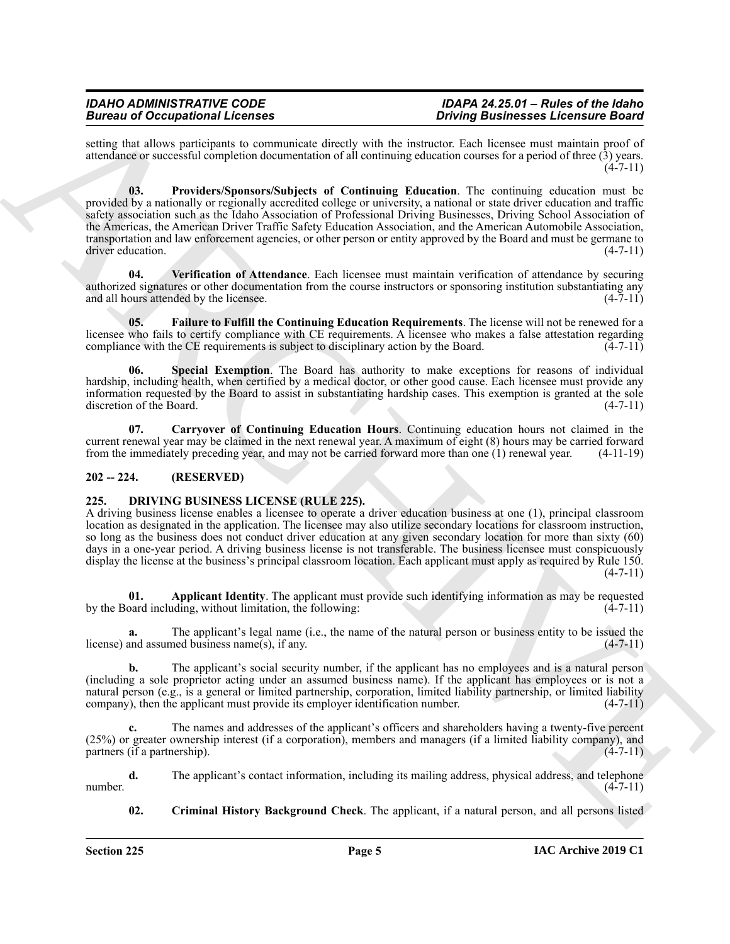<span id="page-4-4"></span>setting that allows participants to communicate directly with the instructor. Each licensee must maintain proof of attendance or successful completion documentation of all continuing education courses for a period of three (3) years.  $(4 - 7 - 11)$ 

Beach of Occupation 1. Learning the state of the state of the state of the state of the state of the state of the state of the state of the state of the state of the state of the state of the state of the state of the sta **03. Providers/Sponsors/Subjects of Continuing Education**. The continuing education must be provided by a nationally or regionally accredited college or university, a national or state driver education and traffic safety association such as the Idaho Association of Professional Driving Businesses, Driving School Association of the Americas, the American Driver Traffic Safety Education Association, and the American Automobile Association, transportation and law enforcement agencies, or other person or entity approved by the Board and must be germane to driver education. (4-7-11)

<span id="page-4-6"></span>**04. Verification of Attendance**. Each licensee must maintain verification of attendance by securing authorized signatures or other documentation from the course instructors or sponsoring institution substantiating any and all hours attended by the licensee. (4-7-11)

<span id="page-4-3"></span>**05. Failure to Fulfill the Continuing Education Requirements**. The license will not be renewed for a licensee who fails to certify compliance with CE requirements. A licensee who makes a false attestation regarding compliance with the CE requirements is subject to disciplinary action by the Board.  $(4-7-11)$ 

<span id="page-4-5"></span>**Special Exemption.** The Board has authority to make exceptions for reasons of individual hardship, including health, when certified by a medical doctor, or other good cause. Each licensee must provide any information requested by the Board to assist in substantiating hardship cases. This exemption is granted at the sole discretion of the Board.

<span id="page-4-2"></span>**07. Carryover of Continuing Education Hours**. Continuing education hours not claimed in the current renewal year may be claimed in the next renewal year. A maximum of eight (8) hours may be carried forward from the immediately preceding year, and may not be carried forward more than one (1) renewal year. (4-11-19)

# <span id="page-4-0"></span>**202 -- 224. (RESERVED)**

# <span id="page-4-7"></span><span id="page-4-1"></span>**225. DRIVING BUSINESS LICENSE (RULE 225).**

A driving business license enables a licensee to operate a driver education business at one (1), principal classroom location as designated in the application. The licensee may also utilize secondary locations for classroom instruction, so long as the business does not conduct driver education at any given secondary location for more than sixty (60) days in a one-year period. A driving business license is not transferable. The business licensee must conspicuously display the license at the business's principal classroom location. Each applicant must apply as required by Rule 150.  $(4 - 7 - 11)$ 

<span id="page-4-8"></span>**01. Applicant Identity**. The applicant must provide such identifying information as may be requested pard including, without limitation, the following: (4-7-11) by the Board including, without limitation, the following:

**a.** The applicant's legal name (i.e., the name of the natural person or business entity to be issued the license) and assumed business name(s), if any. (4-7-11)

**b.** The applicant's social security number, if the applicant has no employees and is a natural person (including a sole proprietor acting under an assumed business name). If the applicant has employees or is not a natural person (e.g., is a general or limited partnership, corporation, limited liability partnership, or limited liability company), then the applicant must provide its employer identification number. (4-7-11)

**c.** The names and addresses of the applicant's officers and shareholders having a twenty-five percent (25%) or greater ownership interest (if a corporation), members and managers (if a limited liability company), and partners (if a partnership).  $(4-7-11)$ 

**d.** The applicant's contact information, including its mailing address, physical address, and telephone (4-7-11) number.  $(4-7-11)$ 

<span id="page-4-9"></span>**02. Criminal History Background Check**. The applicant, if a natural person, and all persons listed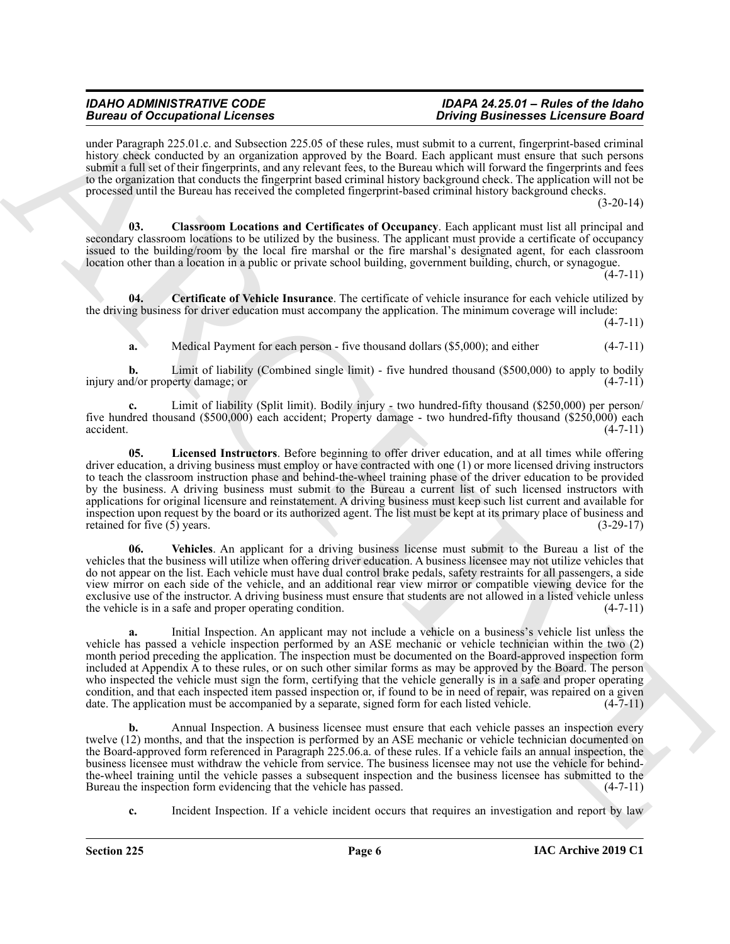under Paragraph 225.01.c. and Subsection 225.05 of these rules, must submit to a current, fingerprint-based criminal history check conducted by an organization approved by the Board. Each applicant must ensure that such persons submit a full set of their fingerprints, and any relevant fees, to the Bureau which will forward the fingerprints and fees to the organization that conducts the fingerprint based criminal history background check. The application will not be processed until the Bureau has received the completed fingerprint-based criminal history background checks.

 $(3-20-14)$ 

<span id="page-5-1"></span>**03. Classroom Locations and Certificates of Occupancy**. Each applicant must list all principal and secondary classroom locations to be utilized by the business. The applicant must provide a certificate of occupancy issued to the building/room by the local fire marshal or the fire marshal's designated agent, for each classroom location other than a location in a public or private school building, government building, church, or synagogue.

 $(4 - 7 - 11)$ 

**04. Certificate of Vehicle Insurance**. The certificate of vehicle insurance for each vehicle utilized by the driving business for driver education must accompany the application. The minimum coverage will include:

 $(4 - 7 - 11)$ 

<span id="page-5-0"></span>**a.** Medical Payment for each person - five thousand dollars (\$5,000); and either (4-7-11)

**b.** Limit of liability (Combined single limit) - five hundred thousand (\$500,000) to apply to bodily injury and/or property damage; or (4-7-11)

<span id="page-5-2"></span>**c.** Limit of liability (Split limit). Bodily injury - two hundred-fifty thousand (\$250,000) per person/ five hundred thousand (\$500,000) each accident; Property damage - two hundred-fifty thousand (\$250,000) each  $\alpha$ ccident.  $(4-7-11)$ 

Because of Occupation II. Consider the same point in the same point in the same state in the same state in the same state in the same state in the same state is a state of the same state in the same state is a state of th **05. Licensed Instructors**. Before beginning to offer driver education, and at all times while offering driver education, a driving business must employ or have contracted with one (1) or more licensed driving instructors to teach the classroom instruction phase and behind-the-wheel training phase of the driver education to be provided by the business. A driving business must submit to the Bureau a current list of such licensed instructors with applications for original licensure and reinstatement. A driving business must keep such list current and available for inspection upon request by the board or its authorized agent. The list must be kept at its primary place of business and retained for five (5) years. (3-29-17)

<span id="page-5-3"></span>**06. Vehicles**. An applicant for a driving business license must submit to the Bureau a list of the vehicles that the business will utilize when offering driver education. A business licensee may not utilize vehicles that do not appear on the list. Each vehicle must have dual control brake pedals, safety restraints for all passengers, a side view mirror on each side of the vehicle, and an additional rear view mirror or compatible viewing device for the exclusive use of the instructor. A driving business must ensure that students are not allowed in a listed vehicle unless<br>the vehicle is in a safe and proper operating condition. (4-7-11) the vehicle is in a safe and proper operating condition.

**a.** Initial Inspection. An applicant may not include a vehicle on a business's vehicle list unless the vehicle has passed a vehicle inspection performed by an ASE mechanic or vehicle technician within the two (2) month period preceding the application. The inspection must be documented on the Board-approved inspection form included at Appendix A to these rules, or on such other similar forms as may be approved by the Board. The person who inspected the vehicle must sign the form, certifying that the vehicle generally is in a safe and proper operating condition, and that each inspected item passed inspection or, if found to be in need of repair, was repaired on a given date. The application must be accompanied by a separate, signed form for each listed vehicle. (4-7-11)

**b.** Annual Inspection. A business licensee must ensure that each vehicle passes an inspection every twelve (12) months, and that the inspection is performed by an ASE mechanic or vehicle technician documented on the Board-approved form referenced in Paragraph 225.06.a. of these rules. If a vehicle fails an annual inspection, the business licensee must withdraw the vehicle from service. The business licensee may not use the vehicle for behindthe-wheel training until the vehicle passes a subsequent inspection and the business licensee has submitted to the Bureau the inspection form evidencing that the vehicle has passed. (4-7-11) Bureau the inspection form evidencing that the vehicle has passed.

**c.** Incident Inspection. If a vehicle incident occurs that requires an investigation and report by law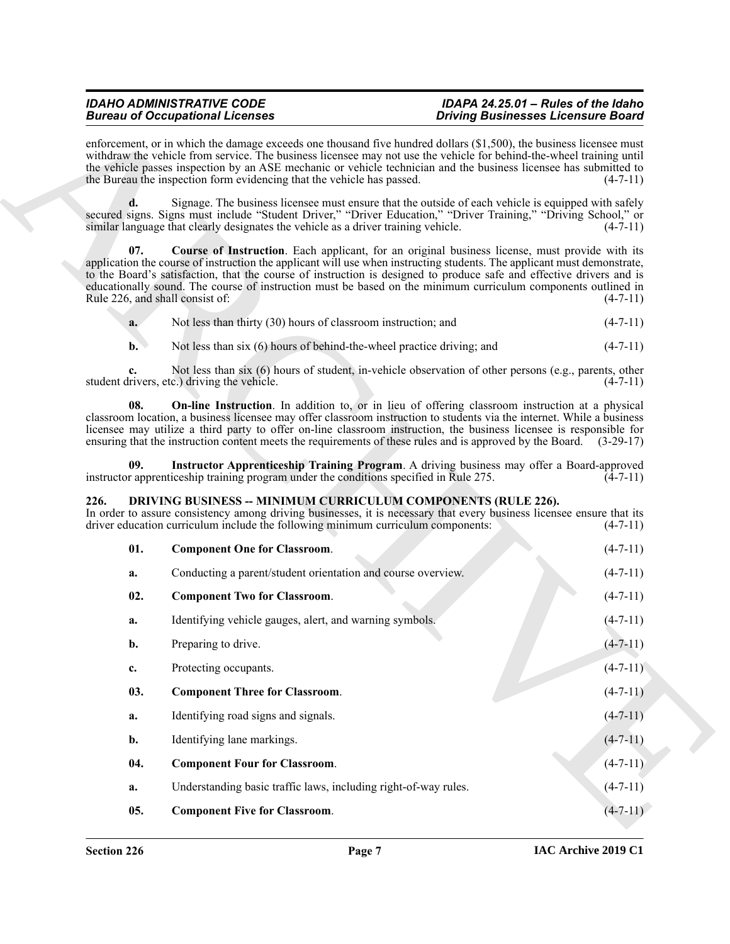<span id="page-6-9"></span><span id="page-6-7"></span>

| a. | Not less than thirty (30) hours of classroom instruction; and | $(4-7-11)$ |
|----|---------------------------------------------------------------|------------|
|----|---------------------------------------------------------------|------------|

# <span id="page-6-8"></span><span id="page-6-6"></span><span id="page-6-5"></span><span id="page-6-4"></span><span id="page-6-3"></span><span id="page-6-2"></span><span id="page-6-1"></span><span id="page-6-0"></span>**226. DRIVING BUSINESS -- MINIMUM CURRICULUM COMPONENTS (RULE 226).**

|                                        | <b>Bureau of Occupational Licenses</b>                                                                                                                   | <b>Driving Businesses Licensure Board</b>                                                                                                                                                                                                                                                                                                                                                                                                                                               |  |
|----------------------------------------|----------------------------------------------------------------------------------------------------------------------------------------------------------|-----------------------------------------------------------------------------------------------------------------------------------------------------------------------------------------------------------------------------------------------------------------------------------------------------------------------------------------------------------------------------------------------------------------------------------------------------------------------------------------|--|
|                                        | the Bureau the inspection form evidencing that the vehicle has passed.                                                                                   | enforcement, or in which the damage exceeds one thousand five hundred dollars (\$1,500), the business licensee must<br>withdraw the vehicle from service. The business licensee may not use the vehicle for behind-the-wheel training until<br>the vehicle passes inspection by an ASE mechanic or vehicle technician and the business licensee has submitted to<br>$(4-7-11)$                                                                                                          |  |
| d.                                     | similar language that clearly designates the vehicle as a driver training vehicle.                                                                       | Signage. The business licensee must ensure that the outside of each vehicle is equipped with safely<br>secured signs. Signs must include "Student Driver," "Driver Education," "Driver Training," "Driving School," or<br>$(4-7-11)$                                                                                                                                                                                                                                                    |  |
| 07.<br>Rule 226, and shall consist of: |                                                                                                                                                          | <b>Course of Instruction.</b> Each applicant, for an original business license, must provide with its<br>application the course of instruction the applicant will use when instructing students. The applicant must demonstrate,<br>to the Board's satisfaction, that the course of instruction is designed to produce safe and effective drivers and is<br>educationally sound. The course of instruction must be based on the minimum curriculum components outlined in<br>$(4-7-11)$ |  |
| a.                                     | Not less than thirty (30) hours of classroom instruction; and                                                                                            | $(4-7-11)$                                                                                                                                                                                                                                                                                                                                                                                                                                                                              |  |
| $\mathbf{b}$ .                         | Not less than six (6) hours of behind-the-wheel practice driving; and                                                                                    | $(4-7-11)$                                                                                                                                                                                                                                                                                                                                                                                                                                                                              |  |
| c.                                     | student drivers, etc.) driving the vehicle.                                                                                                              | Not less than six (6) hours of student, in-vehicle observation of other persons (e.g., parents, other<br>$(4-7-11)$                                                                                                                                                                                                                                                                                                                                                                     |  |
| 08.                                    |                                                                                                                                                          | <b>On-line Instruction</b> . In addition to, or in lieu of offering classroom instruction at a physical<br>classroom location, a business licensee may offer classroom instruction to students via the internet. While a business<br>licensee may utilize a third party to offer on-line classroom instruction, the business licensee is responsible for<br>ensuring that the instruction content meets the requirements of these rules and is approved by the Board. (3-29-17)         |  |
| 09.                                    | instructor apprenticeship training program under the conditions specified in Rule 275.                                                                   | Instructor Apprenticeship Training Program. A driving business may offer a Board-approved<br>$(4-7-11)$                                                                                                                                                                                                                                                                                                                                                                                 |  |
| 226.                                   | <b>DRIVING BUSINESS -- MINIMUM CURRICULUM COMPONENTS (RULE 226).</b><br>driver education curriculum include the following minimum curriculum components: | In order to assure consistency among driving businesses, it is necessary that every business licensee ensure that its<br>$(4-7-11)$                                                                                                                                                                                                                                                                                                                                                     |  |
| 01.                                    | <b>Component One for Classroom.</b>                                                                                                                      | $(4-7-11)$                                                                                                                                                                                                                                                                                                                                                                                                                                                                              |  |
| a.                                     | Conducting a parent/student orientation and course overview.                                                                                             | $(4-7-11)$                                                                                                                                                                                                                                                                                                                                                                                                                                                                              |  |
| 02.                                    | <b>Component Two for Classroom.</b>                                                                                                                      | $(4-7-11)$                                                                                                                                                                                                                                                                                                                                                                                                                                                                              |  |
| a.                                     | Identifying vehicle gauges, alert, and warning symbols.                                                                                                  | $(4-7-11)$                                                                                                                                                                                                                                                                                                                                                                                                                                                                              |  |
| b.                                     | Preparing to drive.                                                                                                                                      | $(4 - 7 - 11)$                                                                                                                                                                                                                                                                                                                                                                                                                                                                          |  |
| c.                                     | Protecting occupants.                                                                                                                                    | $(4 - 7 - 11)$                                                                                                                                                                                                                                                                                                                                                                                                                                                                          |  |
| 03.                                    | <b>Component Three for Classroom.</b>                                                                                                                    | $(4-7-11)$                                                                                                                                                                                                                                                                                                                                                                                                                                                                              |  |
| a.                                     | Identifying road signs and signals.                                                                                                                      | $(4 - 7 - 11)$                                                                                                                                                                                                                                                                                                                                                                                                                                                                          |  |
| b.                                     | Identifying lane markings.                                                                                                                               | $(4-7-11)$                                                                                                                                                                                                                                                                                                                                                                                                                                                                              |  |
| 04.                                    | <b>Component Four for Classroom.</b>                                                                                                                     | $(4-7-11)$                                                                                                                                                                                                                                                                                                                                                                                                                                                                              |  |
| a.                                     | Understanding basic traffic laws, including right-of-way rules.                                                                                          | $(4 - 7 - 11)$                                                                                                                                                                                                                                                                                                                                                                                                                                                                          |  |
|                                        |                                                                                                                                                          |                                                                                                                                                                                                                                                                                                                                                                                                                                                                                         |  |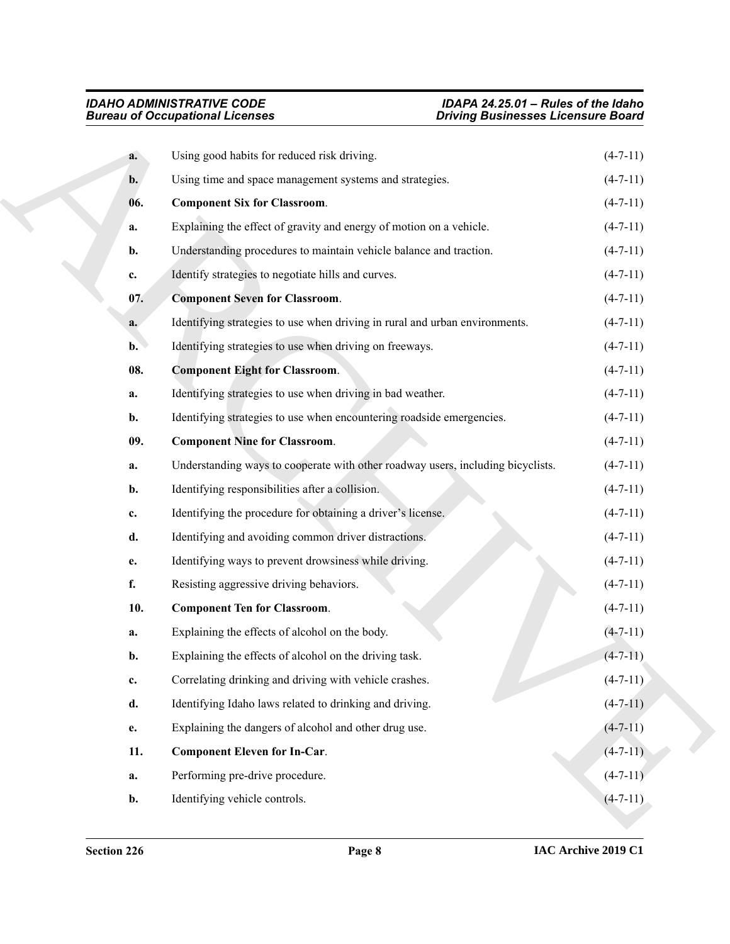<span id="page-7-5"></span><span id="page-7-4"></span><span id="page-7-3"></span><span id="page-7-2"></span><span id="page-7-1"></span><span id="page-7-0"></span>

|                | <b>Bureau of Occupational Licenses</b>                                          | <b>Driving Businesses Licensure Board</b> |
|----------------|---------------------------------------------------------------------------------|-------------------------------------------|
| a.             | Using good habits for reduced risk driving.                                     | $(4-7-11)$                                |
| b.             | Using time and space management systems and strategies.                         | $(4-7-11)$                                |
| 06.            | <b>Component Six for Classroom.</b>                                             | $(4-7-11)$                                |
| a.             | Explaining the effect of gravity and energy of motion on a vehicle.             | $(4-7-11)$                                |
| b.             | Understanding procedures to maintain vehicle balance and traction.              | $(4-7-11)$                                |
| c.             | Identify strategies to negotiate hills and curves.                              | $(4-7-11)$                                |
| 07.            | <b>Component Seven for Classroom.</b>                                           | $(4-7-11)$                                |
| a.             | Identifying strategies to use when driving in rural and urban environments.     | $(4-7-11)$                                |
| $\mathbf{b}$ . | Identifying strategies to use when driving on freeways.                         | $(4-7-11)$                                |
| 08.            | <b>Component Eight for Classroom.</b>                                           | $(4-7-11)$                                |
| a.             | Identifying strategies to use when driving in bad weather.                      | $(4-7-11)$                                |
| b.             | Identifying strategies to use when encountering roadside emergencies.           | $(4-7-11)$                                |
| 09.            | <b>Component Nine for Classroom.</b>                                            | $(4-7-11)$                                |
| a.             | Understanding ways to cooperate with other roadway users, including bicyclists. | $(4-7-11)$                                |
| b.             | Identifying responsibilities after a collision.                                 | $(4-7-11)$                                |
| c.             | Identifying the procedure for obtaining a driver's license.                     | $(4-7-11)$                                |
| d.             | Identifying and avoiding common driver distractions.                            | $(4-7-11)$                                |
| е.             | Identifying ways to prevent drowsiness while driving.                           | $(4-7-11)$                                |
| f.             | Resisting aggressive driving behaviors.                                         | $(4-7-11)$                                |
| 10.            | <b>Component Ten for Classroom.</b>                                             | $(4-7-11)$                                |
| a.             | Explaining the effects of alcohol on the body.                                  | $(4 - 7 - 11)$                            |
| b.             | Explaining the effects of alcohol on the driving task.                          | $(4-7-11)$                                |
| c.             | Correlating drinking and driving with vehicle crashes.                          | $(4 - 7 - 11)$                            |
| d.             | Identifying Idaho laws related to drinking and driving.                         | $(4-7-11)$                                |
| e.             | Explaining the dangers of alcohol and other drug use.                           | $(4 - 7 - 11)$                            |
| 11.            | <b>Component Eleven for In-Car.</b>                                             | $(4-7-11)$                                |
| a.             | Performing pre-drive procedure.                                                 | $(4-7-11)$                                |
| b.             | Identifying vehicle controls.                                                   | $(4 - 7 - 11)$                            |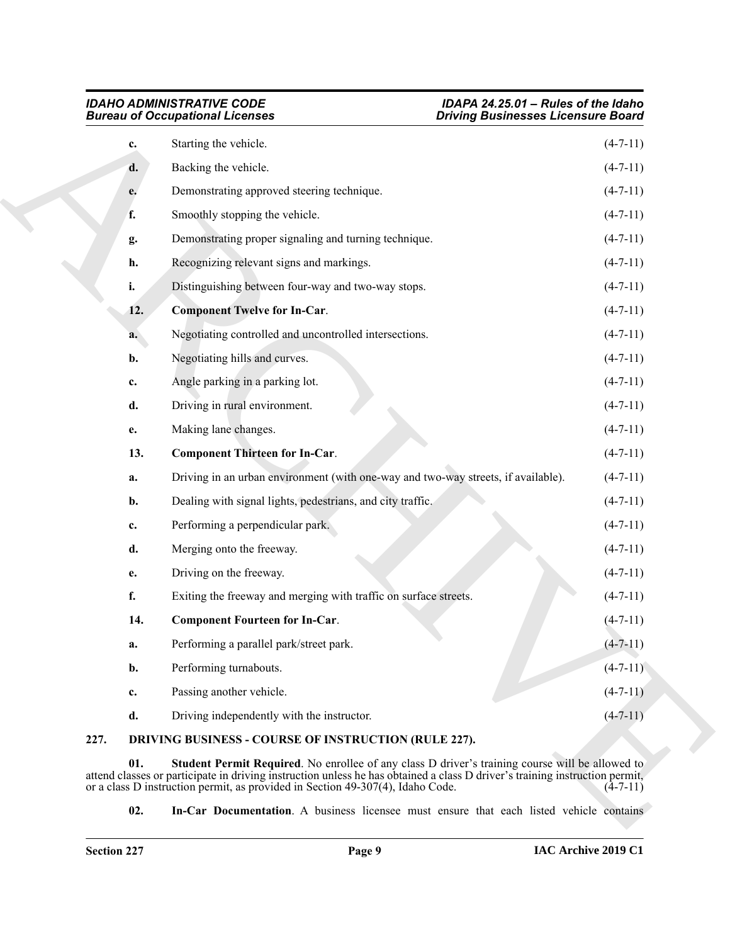<span id="page-8-6"></span>

|      |     | <b>Bureau of Occupational Licenses</b><br><b>Driving Businesses Licensure Board</b>                                                                                                                                                                                                                                     |                |
|------|-----|-------------------------------------------------------------------------------------------------------------------------------------------------------------------------------------------------------------------------------------------------------------------------------------------------------------------------|----------------|
|      | c.  | Starting the vehicle.                                                                                                                                                                                                                                                                                                   | $(4-7-11)$     |
|      | d.  | Backing the vehicle.                                                                                                                                                                                                                                                                                                    | $(4-7-11)$     |
|      | e.  | Demonstrating approved steering technique.                                                                                                                                                                                                                                                                              | $(4-7-11)$     |
|      | f.  | Smoothly stopping the vehicle.                                                                                                                                                                                                                                                                                          | $(4-7-11)$     |
|      | g.  | Demonstrating proper signaling and turning technique.                                                                                                                                                                                                                                                                   | $(4-7-11)$     |
|      | h.  | Recognizing relevant signs and markings.                                                                                                                                                                                                                                                                                | $(4-7-11)$     |
|      | i.  | Distinguishing between four-way and two-way stops.                                                                                                                                                                                                                                                                      | $(4-7-11)$     |
|      | 12. | <b>Component Twelve for In-Car.</b>                                                                                                                                                                                                                                                                                     | $(4-7-11)$     |
|      | a.  | Negotiating controlled and uncontrolled intersections.                                                                                                                                                                                                                                                                  | $(4-7-11)$     |
|      | b.  | Negotiating hills and curves.                                                                                                                                                                                                                                                                                           | $(4-7-11)$     |
|      | c.  | Angle parking in a parking lot.                                                                                                                                                                                                                                                                                         | $(4-7-11)$     |
|      | d.  | Driving in rural environment.                                                                                                                                                                                                                                                                                           | $(4-7-11)$     |
|      | e.  | Making lane changes.                                                                                                                                                                                                                                                                                                    | $(4-7-11)$     |
|      | 13. | <b>Component Thirteen for In-Car.</b>                                                                                                                                                                                                                                                                                   | $(4-7-11)$     |
|      | a.  | Driving in an urban environment (with one-way and two-way streets, if available).                                                                                                                                                                                                                                       | $(4-7-11)$     |
|      | b.  | Dealing with signal lights, pedestrians, and city traffic.                                                                                                                                                                                                                                                              | $(4-7-11)$     |
|      | c.  | Performing a perpendicular park.                                                                                                                                                                                                                                                                                        | $(4-7-11)$     |
|      | d.  | Merging onto the freeway.                                                                                                                                                                                                                                                                                               | $(4-7-11)$     |
|      | е.  | Driving on the freeway.                                                                                                                                                                                                                                                                                                 | $(4-7-11)$     |
|      | f.  | Exiting the freeway and merging with traffic on surface streets.                                                                                                                                                                                                                                                        | $(4-7-11)$     |
|      | 14. | <b>Component Fourteen for In-Car.</b>                                                                                                                                                                                                                                                                                   | $(4 - 7 - 11)$ |
|      | a.  | Performing a parallel park/street park.                                                                                                                                                                                                                                                                                 | $(4 - 7 - 11)$ |
|      | b.  | Performing turnabouts.                                                                                                                                                                                                                                                                                                  | $(4-7-11)$     |
|      | c.  | Passing another vehicle.                                                                                                                                                                                                                                                                                                | $(4-7-11)$     |
|      | d.  | Driving independently with the instructor.                                                                                                                                                                                                                                                                              | $(4 - 7 - 11)$ |
| 227. |     | DRIVING BUSINESS - COURSE OF INSTRUCTION (RULE 227).                                                                                                                                                                                                                                                                    |                |
|      | 01. | <b>Student Permit Required.</b> No enrollee of any class D driver's training course will be allowed to<br>attend classes or participate in driving instruction unless he has obtained a class D driver's training instruction permit,<br>or a class D instruction permit, as provided in Section 49-307(4), Idaho Code. | $(4-7-11)$     |
|      | 02. | <b>In-Car Documentation.</b> A business licensee must ensure that each listed vehicle contains                                                                                                                                                                                                                          |                |

# <span id="page-8-5"></span><span id="page-8-4"></span><span id="page-8-3"></span><span id="page-8-2"></span><span id="page-8-1"></span><span id="page-8-0"></span>**227. DRIVING BUSINESS - COURSE OF INSTRUCTION (RULE 227).**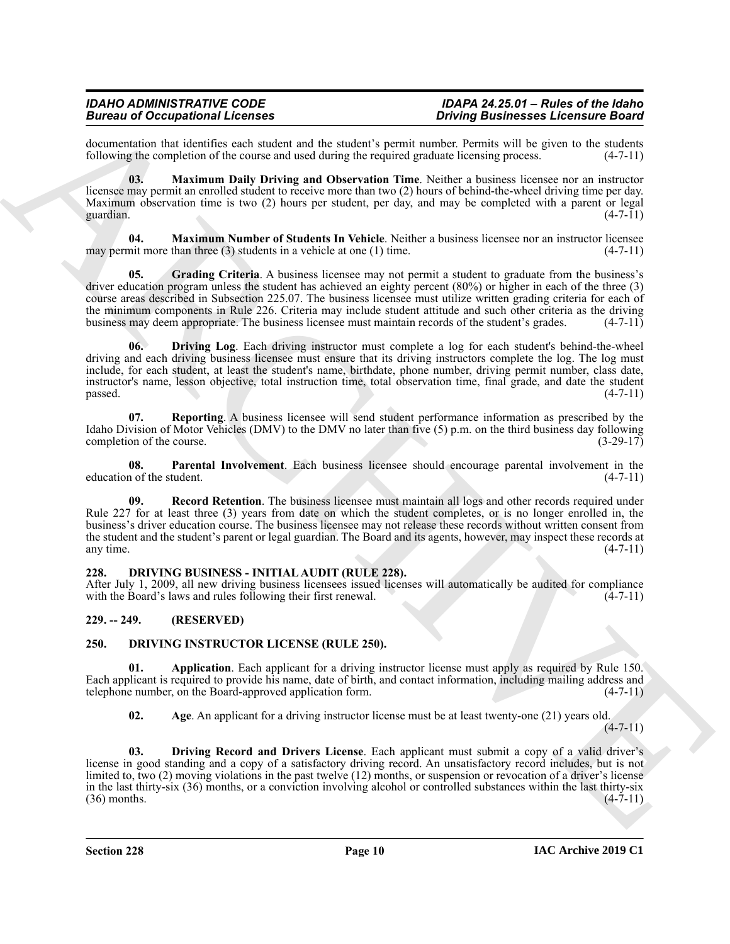documentation that identifies each student and the student's permit number. Permits will be given to the students following the completion of the course and used during the required graduate licensing process. (4-7-11) following the completion of the course and used during the required graduate licensing process.

<span id="page-9-5"></span>**03. Maximum Daily Driving and Observation Time**. Neither a business licensee nor an instructor licensee may permit an enrolled student to receive more than two (2) hours of behind-the-wheel driving time per day. Maximum observation time is two (2) hours per student, per day, and may be completed with a parent or legal guardian. (4-7-11) guardian.  $(4-7-11)$ 

<span id="page-9-6"></span>**04. Maximum Number of Students In Vehicle**. Neither a business licensee nor an instructor licensee may permit more than three (3) students in a vehicle at one (1) time.  $(4-7-11)$ 

<span id="page-9-4"></span><span id="page-9-3"></span>**05. Grading Criteria**. A business licensee may not permit a student to graduate from the business's driver education program unless the student has achieved an eighty percent (80%) or higher in each of the three (3) course areas described in Subsection 225.07. The business licensee must utilize written grading criteria for each of the minimum components in Rule 226. Criteria may include student attitude and such other criteria as the driving business may deem appropriate. The business licensee must maintain records of the student's grades. (4-7-11)

Because of Occupation Relief Lemons<br>
algorithm the state of Company and Because Company and Because Company and Company and Exercise Company and the<br>
Individual Company and the state of the state of the state of the state **06. Driving Log**. Each driving instructor must complete a log for each student's behind-the-wheel driving and each driving business licensee must ensure that its driving instructors complete the log. The log must include, for each student, at least the student's name, birthdate, phone number, driving permit number, class date, instructor's name, lesson objective, total instruction time, total observation time, final grade, and date the student  $p$ assed.  $(4-7-11)$ 

<span id="page-9-9"></span>**07. Reporting**. A business licensee will send student performance information as prescribed by the Idaho Division of Motor Vehicles (DMV) to the DMV no later than five (5) p.m. on the third business day following completion of the course.  $(3-29-17)$ 

<span id="page-9-7"></span>**08. Parental Involvement**. Each business licensee should encourage parental involvement in the education of the student. (4-7-11)

<span id="page-9-8"></span>**09.** Record Retention. The business licensee must maintain all logs and other records required under Rule 227 for at least three (3) years from date on which the student completes, or is no longer enrolled in, the business's driver education course. The business licensee may not release these records without written consent from the student and the student's parent or legal guardian. The Board and its agents, however, may inspect these records at any time. (4-7-11) any time.  $(4-7-11)$ 

# <span id="page-9-10"></span><span id="page-9-0"></span>**228. DRIVING BUSINESS - INITIAL AUDIT (RULE 228).**

After July 1, 2009, all new driving business licensees issued licenses will automatically be audited for compliance with the Board's laws and rules following their first renewal. (4-7-11)

# <span id="page-9-1"></span>**229. -- 249. (RESERVED)**

# <span id="page-9-11"></span><span id="page-9-2"></span>**250. DRIVING INSTRUCTOR LICENSE (RULE 250).**

**01. Application**. Each applicant for a driving instructor license must apply as required by Rule 150. Each applicant is required to provide his name, date of birth, and contact information, including mailing address and telephone number, on the Board-approved application form. (4-7-11)

<span id="page-9-14"></span><span id="page-9-13"></span><span id="page-9-12"></span>**02. Age**. An applicant for a driving instructor license must be at least twenty-one (21) years old.

 $(4 - 7 - 11)$ 

**03. Driving Record and Drivers License**. Each applicant must submit a copy of a valid driver's license in good standing and a copy of a satisfactory driving record. An unsatisfactory record includes, but is not limited to, two (2) moving violations in the past twelve (12) months, or suspension or revocation of a driver's license in the last thirty-six (36) months, or a conviction involving alcohol or controlled substances within the last thirty-six (36) months.  $(4-7-11)$  $(36)$  months.  $(4-7-11)$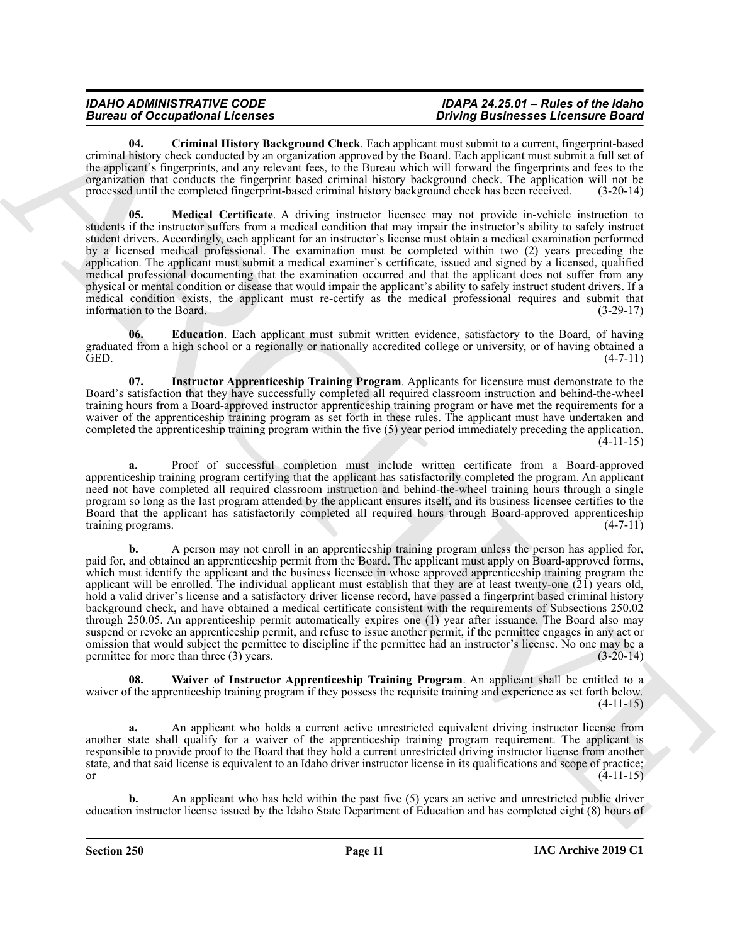<span id="page-10-0"></span>**04. Criminal History Background Check**. Each applicant must submit to a current, fingerprint-based criminal history check conducted by an organization approved by the Board. Each applicant must submit a full set of the applicant's fingerprints, and any relevant fees, to the Bureau which will forward the fingerprints and fees to the organization that conducts the fingerprint based criminal history background check. The application will not be processed until the completed fingerprint-based criminal history background check has been received. (3-20-14)

<span id="page-10-3"></span>**05. Medical Certificate**. A driving instructor licensee may not provide in-vehicle instruction to students if the instructor suffers from a medical condition that may impair the instructor's ability to safely instruct student drivers. Accordingly, each applicant for an instructor's license must obtain a medical examination performed by a licensed medical professional. The examination must be completed within two (2) years preceding the application. The applicant must submit a medical examiner's certificate, issued and signed by a licensed, qualified medical professional documenting that the examination occurred and that the applicant does not suffer from any physical or mental condition or disease that would impair the applicant's ability to safely instruct student drivers. If a medical condition exists, the applicant must re-certify as the medical professional requires and submit that information to the Board. (3-29-17)

<span id="page-10-1"></span>**06. Education**. Each applicant must submit written evidence, satisfactory to the Board, of having graduated from a high school or a regionally or nationally accredited college or university, or of having obtained a GED. (4-7-11)

<span id="page-10-2"></span>**07. Instructor Apprenticeship Training Program**. Applicants for licensure must demonstrate to the Board's satisfaction that they have successfully completed all required classroom instruction and behind-the-wheel training hours from a Board-approved instructor apprenticeship training program or have met the requirements for a waiver of the apprenticeship training program as set forth in these rules. The applicant must have undertaken and completed the apprenticeship training program within the five (5) year period immediately preceding the application. (4-11-15)

**a.** Proof of successful completion must include written certificate from a Board-approved apprenticeship training program certifying that the applicant has satisfactorily completed the program. An applicant need not have completed all required classroom instruction and behind-the-wheel training hours through a single program so long as the last program attended by the applicant ensures itself, and its business licensee certifies to the Board that the applicant has satisfactorily completed all required hours through Board-approved apprenticeship training programs. (4-7-11)

Because of Georgian Control Research and the state of the projection and solution the state of the state of the state of the state of the state of the state of the state of the state of the state of the state of the state **b.** A person may not enroll in an apprenticeship training program unless the person has applied for, paid for, and obtained an apprenticeship permit from the Board. The applicant must apply on Board-approved forms, which must identify the applicant and the business licensee in whose approved apprenticeship training program the applicant will be enrolled. The individual applicant must establish that they are at least twenty-one (21) years old, hold a valid driver's license and a satisfactory driver license record, have passed a fingerprint based criminal history background check, and have obtained a medical certificate consistent with the requirements of Subsections 250.02 through 250.05. An apprenticeship permit automatically expires one (1) year after issuance. The Board also may suspend or revoke an apprenticeship permit, and refuse to issue another permit, if the permittee engages in any act or omission that would subject the permittee to discipline if the permittee had an instructor's license. No one may be a permittee for more than three (3) years. permittee for more than three  $(3)$  years.

<span id="page-10-4"></span>**08. Waiver of Instructor Apprenticeship Training Program**. An applicant shall be entitled to a waiver of the apprenticeship training program if they possess the requisite training and experience as set forth below. (4-11-15)

**a.** An applicant who holds a current active unrestricted equivalent driving instructor license from another state shall qualify for a waiver of the apprenticeship training program requirement. The applicant is responsible to provide proof to the Board that they hold a current unrestricted driving instructor license from another state, and that said license is equivalent to an Idaho driver instructor license in its qualifications and scope of practice; or  $(4-11-15)$ 

**b.** An applicant who has held within the past five (5) years an active and unrestricted public driver education instructor license issued by the Idaho State Department of Education and has completed eight (8) hours of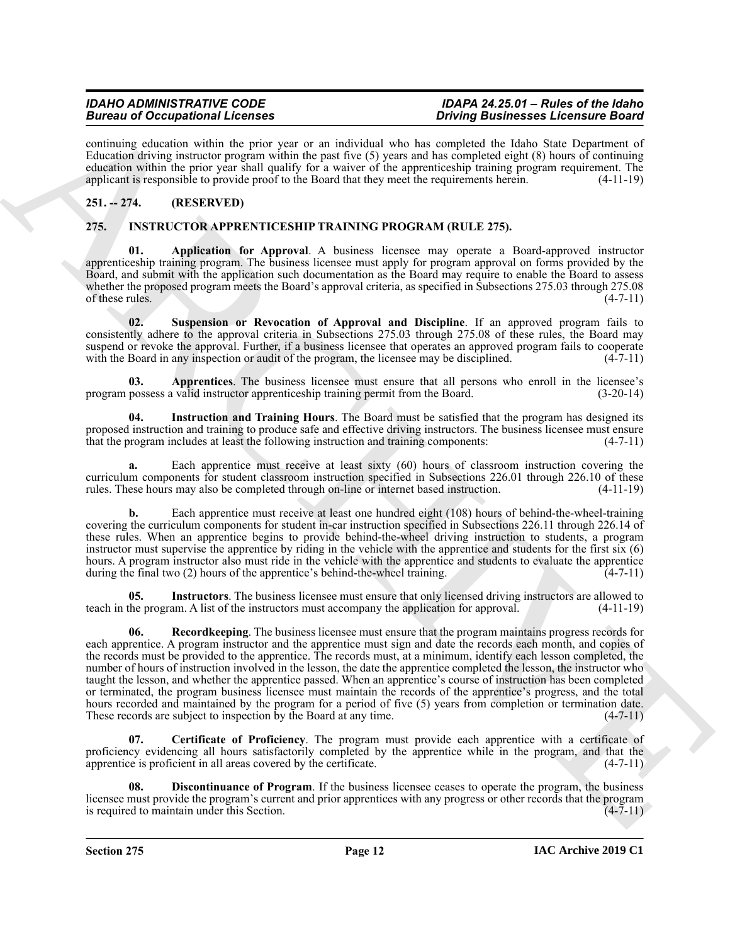# **Bureau of Occupational Licenses**

continuing education within the prior year or an individual who has completed the Idaho State Department of Education driving instructor program within the past five (5) years and has completed eight (8) hours of continuing education within the prior year shall qualify for a waiver of the apprenticeship training program requirement. The applicant is responsible to provide proof to the Board that they meet the requirements herein. (4-11-19)

# <span id="page-11-0"></span>**251. -- 274. (RESERVED)**

# <span id="page-11-2"></span><span id="page-11-1"></span>**275. INSTRUCTOR APPRENTICESHIP TRAINING PROGRAM (RULE 275).**

<span id="page-11-3"></span>**01. Application for Approval**. A business licensee may operate a Board-approved instructor apprenticeship training program. The business licensee must apply for program approval on forms provided by the Board, and submit with the application such documentation as the Board may require to enable the Board to assess whether the proposed program meets the Board's approval criteria, as specified in Subsections 275.03 through 275.08  $\frac{1}{4-7-11}$  (4-7-11)

<span id="page-11-10"></span>**02. Suspension or Revocation of Approval and Discipline**. If an approved program fails to consistently adhere to the approval criteria in Subsections 275.03 through 275.08 of these rules, the Board may suspend or revoke the approval. Further, if a business licensee that operates an approved program fails to cooperate with the Board in any inspection or audit of the program, the licensee may be disciplined.  $(4-7-11)$ 

<span id="page-11-4"></span>**03.** Apprentices. The business licensee must ensure that all persons who enroll in the licensee's possess a valid instructor apprentices hip training permit from the Board. (3-20-14) program possess a valid instructor apprenticeship training permit from the Board.

<span id="page-11-7"></span>**04. Instruction and Training Hours**. The Board must be satisfied that the program has designed its proposed instruction and training to produce safe and effective driving instructors. The business licensee must ensure that the program includes at least the following instruction and training components: (4-7-11)

**a.** Each apprentice must receive at least sixty (60) hours of classroom instruction covering the curriculum components for student classroom instruction specified in Subsections 226.01 through 226.10 of these rules. These hours may also be completed through on-line or internet based instruction. (4-11-19)

**b.** Each apprentice must receive at least one hundred eight (108) hours of behind-the-wheel-training covering the curriculum components for student in-car instruction specified in Subsections 226.11 through 226.14 of these rules. When an apprentice begins to provide behind-the-wheel driving instruction to students, a program instructor must supervise the apprentice by riding in the vehicle with the apprentice and students for the first six (6) hours. A program instructor also must ride in the vehicle with the apprentice and students to evaluate the apprentice during the final two (2) hours of the apprentice's behind-the-wheel training.  $(4-7-11)$ 

<span id="page-11-9"></span><span id="page-11-8"></span>**05.** Instructors. The business licensee must ensure that only licensed driving instructors are allowed to the program. A list of the instructors must accompany the application for approval. (4-11-19) teach in the program. A list of the instructors must accompany the application for approval.

Because of Companion the line of the main minimized in European properties. The main material is the state of the state of the state of the state of the state of the state of the state of the state of the state of the sta **06. Recordkeeping**. The business licensee must ensure that the program maintains progress records for each apprentice. A program instructor and the apprentice must sign and date the records each month, and copies of the records must be provided to the apprentice. The records must, at a minimum, identify each lesson completed, the number of hours of instruction involved in the lesson, the date the apprentice completed the lesson, the instructor who taught the lesson, and whether the apprentice passed. When an apprentice's course of instruction has been completed or terminated, the program business licensee must maintain the records of the apprentice's progress, and the total hours recorded and maintained by the program for a period of five  $(5)$  years from completion or termination date. These records are subject to inspection by the Board at any time.  $(4-7-11)$ 

<span id="page-11-5"></span>**07. Certificate of Proficiency**. The program must provide each apprentice with a certificate of proficiency evidencing all hours satisfactorily completed by the apprentice while in the program, and that the apprentice is proficient in all areas covered by the certificate.  $(4-7-11)$ 

<span id="page-11-6"></span>**08. Discontinuance of Program**. If the business licensee ceases to operate the program, the business licensee must provide the program's current and prior apprentices with any progress or other records that the program is required to maintain under this Section. (4-7-11)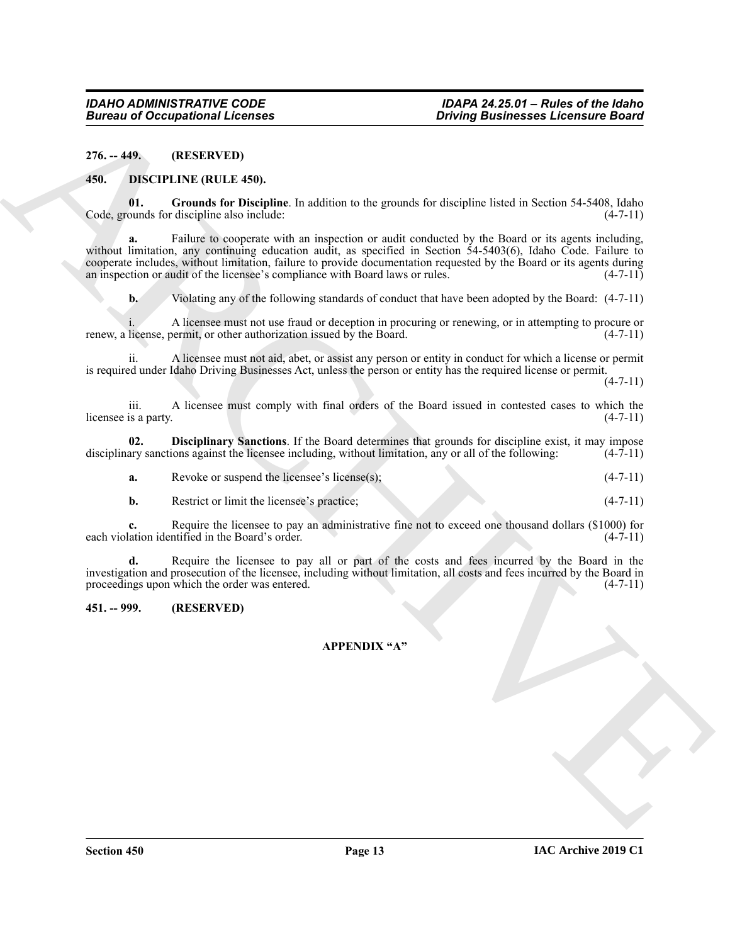<span id="page-12-0"></span>**276. -- 449. (RESERVED)**

### <span id="page-12-3"></span><span id="page-12-1"></span>**450. DISCIPLINE (RULE 450).**

<span id="page-12-5"></span>**01. Grounds for Discipline**. In addition to the grounds for discipline listed in Section 54-5408, Idaho Code, grounds for discipline also include:

ARCHIVE Failure to cooperate with an inspection or audit conducted by the Board or its agents including, without limitation, any continuing education audit, as specified in Section 54-5403(6), Idaho Code. Failure to cooperate includes, without limitation, failure to provide documentation requested by the Board or its agents during an inspection or audit of the licensee's compliance with Board laws or rules. (4-7-11)

**b.** Violating any of the following standards of conduct that have been adopted by the Board:  $(4-7-11)$ 

A licensee must not use fraud or deception in procuring or renewing, or in attempting to procure or earmit, or other authorization issued by the Board. (4-7-11) renew, a license, permit, or other authorization issued by the Board.

ii. A licensee must not aid, abet, or assist any person or entity in conduct for which a license or permit is required under Idaho Driving Businesses Act, unless the person or entity has the required license or permit.

 $(4 - 7 - 11)$ 

iii. A licensee must comply with final orders of the Board issued in contested cases to which the licensee is a party. (4-7-11)

**02. Disciplinary Sanctions**. If the Board determines that grounds for discipline exist, it may impose disciplinary sanctions against the licensee including, without limitation, any or all of the following: (4-7-11)

<span id="page-12-4"></span>

| а. | Revoke or suspend the licensee's license(s); |  |  |  | $(4-7-11)$ |
|----|----------------------------------------------|--|--|--|------------|
|----|----------------------------------------------|--|--|--|------------|

**b.** Restrict or limit the licensee's practice; (4-7-11)

**c.** Require the licensee to pay an administrative fine not to exceed one thousand dollars (\$1000) for each violation identified in the Board's order. (4-7-11)

**d.** Require the licensee to pay all or part of the costs and fees incurred by the Board in the investigation and prosecution of the licensee, including without limitation, all costs and fees incurred by the Board in proceedings upon which the order was entered. (4-7-11)

# <span id="page-12-2"></span>**451. -- 999. (RESERVED)**

## **APPENDIX "A"**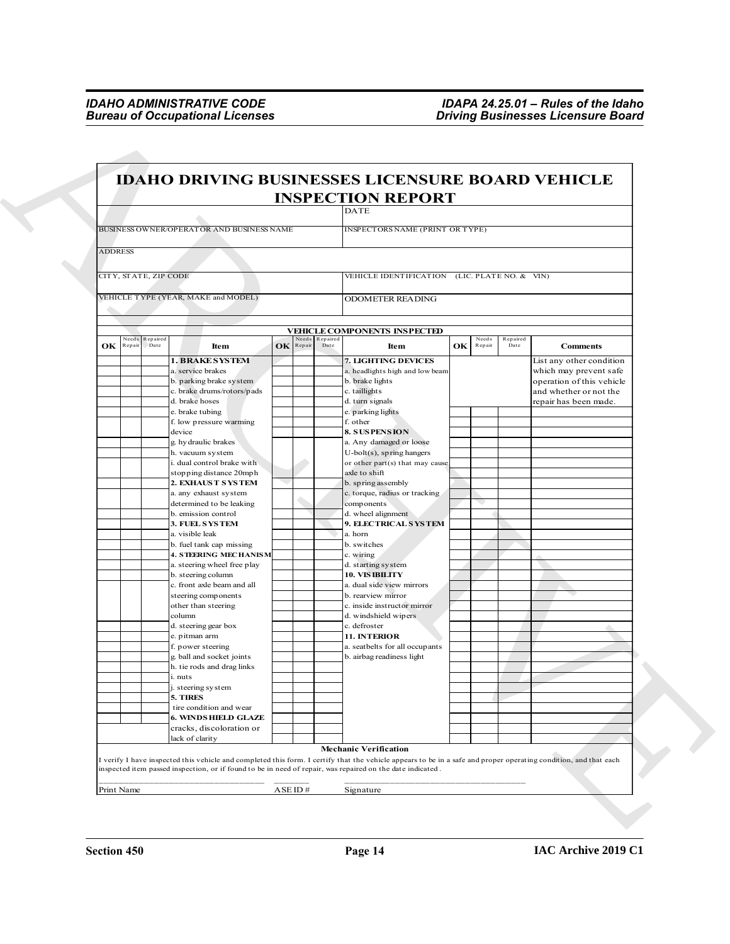| <b>INSPECTION REPORT</b><br><b>DATE</b><br>BUSINESS OWNER/OPERATOR AND BUSINESS NAME<br>INSPECTORS NAME (PRINT OR TYPE)<br>CITY, STATE, ZIP CODE<br>VEHICLE IDENTIFICATION (LIC. PLATE NO. & VIN)<br>VEHICLE TYPE (YEAR, MAKE and MODEL)<br><b>ODOMETER READING</b><br><b>VEHICLE COMPONENTS INSPECTED</b><br><b>deeds</b><br>Repaired<br>leeds<br>Repaired<br>Needs<br>Repaired<br>OK<br>OK<br>Date<br>Date<br>Item<br>Repair<br>Item<br>Repair<br>Date<br><b>Comments</b><br>Repai<br><b>1. BRAKE SYSTEM</b><br>7. LIGHTING DEVICES<br>List any other condition<br>a. service brakes<br>a. headlights high and low beam<br>which may prevent safe<br>b. parking brake system<br>b. brake lights<br>operation of this vehicle<br>c. brake drums/rotors/pads<br>c. taillights<br>and whether or not the<br>d. brake hoses<br>d. turn signals<br>repair has been made.<br>e. brake tubing<br>e. parking lights<br>f. low pressure warming<br>f. other<br>device<br>8. SUSPENSION<br>g. hy draulic brakes<br>a. Any damaged or loose<br>h. vacuum system<br>U-bolt(s), spring hangers<br>i. dual control brake with<br>or other part(s) that may cause<br>stopping distance 20mph<br>axle to shift<br>2. EXHAUST SYSTEM<br>b. spring assembly<br>a. any exhaust system<br>c. torque, radius or tracking<br>determined to be leaking<br>components<br>d. wheel alignment<br>b. emission control<br>3. FUEL SYSTEM<br><b>9. ELECTRICAL SYSTEM</b><br>a. visible leak<br>a. horn<br>b. fuel tank cap missing<br>b. switches<br><b>4. STEERING MECHANISM</b><br>c. wiring<br>a. steering wheel free play<br>d. starting system<br><b>10. VIS IBILITY</b><br>b. steering column<br>c. front axle beam and all<br>a. dual side view mirrors<br>steering components<br>b. rearview mirror<br>other than steering<br>c. inside instructor mirror<br>d. windshield wipers<br>column<br>d. steering gear box<br>c. defroster<br>11. INTERIOR<br>e. pitman arm<br>f. power steering<br>a. seatbelts for all occupants<br>g. ball and socket joints<br>b. airbag readiness light<br>h. tie rods and drag links<br>i. nuts<br>j. steering system<br>5. TIRES<br>tire condition and wear<br><b>6. WINDS HIELD GLAZE</b><br>cracks, discoloration or<br>lack of clarity<br><b>Mechanic Verification</b><br>I verify I have inspected this vehicle and completed this form. I certify that the vehicle appears to be in a safe and proper operating condition, and that each<br>inspected item passed inspection, or if found to be in need of repair, was repaired on the date indicated. |                | <b>IDAHO DRIVING BUSINESSES LICENSURE BOARD VEHICLE</b> |  |  |  |  |
|--------------------------------------------------------------------------------------------------------------------------------------------------------------------------------------------------------------------------------------------------------------------------------------------------------------------------------------------------------------------------------------------------------------------------------------------------------------------------------------------------------------------------------------------------------------------------------------------------------------------------------------------------------------------------------------------------------------------------------------------------------------------------------------------------------------------------------------------------------------------------------------------------------------------------------------------------------------------------------------------------------------------------------------------------------------------------------------------------------------------------------------------------------------------------------------------------------------------------------------------------------------------------------------------------------------------------------------------------------------------------------------------------------------------------------------------------------------------------------------------------------------------------------------------------------------------------------------------------------------------------------------------------------------------------------------------------------------------------------------------------------------------------------------------------------------------------------------------------------------------------------------------------------------------------------------------------------------------------------------------------------------------------------------------------------------------------------------------------------------------------------------------------------------------------------------------------------------------------------------------------------------------------------------------------------------------------------------------------------------------------------------------------------------------------------------------------------------------------------------------------------------------------------------------------------------------------|----------------|---------------------------------------------------------|--|--|--|--|
|                                                                                                                                                                                                                                                                                                                                                                                                                                                                                                                                                                                                                                                                                                                                                                                                                                                                                                                                                                                                                                                                                                                                                                                                                                                                                                                                                                                                                                                                                                                                                                                                                                                                                                                                                                                                                                                                                                                                                                                                                                                                                                                                                                                                                                                                                                                                                                                                                                                                                                                                                                          |                |                                                         |  |  |  |  |
|                                                                                                                                                                                                                                                                                                                                                                                                                                                                                                                                                                                                                                                                                                                                                                                                                                                                                                                                                                                                                                                                                                                                                                                                                                                                                                                                                                                                                                                                                                                                                                                                                                                                                                                                                                                                                                                                                                                                                                                                                                                                                                                                                                                                                                                                                                                                                                                                                                                                                                                                                                          |                |                                                         |  |  |  |  |
|                                                                                                                                                                                                                                                                                                                                                                                                                                                                                                                                                                                                                                                                                                                                                                                                                                                                                                                                                                                                                                                                                                                                                                                                                                                                                                                                                                                                                                                                                                                                                                                                                                                                                                                                                                                                                                                                                                                                                                                                                                                                                                                                                                                                                                                                                                                                                                                                                                                                                                                                                                          | <b>ADDRESS</b> |                                                         |  |  |  |  |
|                                                                                                                                                                                                                                                                                                                                                                                                                                                                                                                                                                                                                                                                                                                                                                                                                                                                                                                                                                                                                                                                                                                                                                                                                                                                                                                                                                                                                                                                                                                                                                                                                                                                                                                                                                                                                                                                                                                                                                                                                                                                                                                                                                                                                                                                                                                                                                                                                                                                                                                                                                          |                |                                                         |  |  |  |  |
|                                                                                                                                                                                                                                                                                                                                                                                                                                                                                                                                                                                                                                                                                                                                                                                                                                                                                                                                                                                                                                                                                                                                                                                                                                                                                                                                                                                                                                                                                                                                                                                                                                                                                                                                                                                                                                                                                                                                                                                                                                                                                                                                                                                                                                                                                                                                                                                                                                                                                                                                                                          |                |                                                         |  |  |  |  |
|                                                                                                                                                                                                                                                                                                                                                                                                                                                                                                                                                                                                                                                                                                                                                                                                                                                                                                                                                                                                                                                                                                                                                                                                                                                                                                                                                                                                                                                                                                                                                                                                                                                                                                                                                                                                                                                                                                                                                                                                                                                                                                                                                                                                                                                                                                                                                                                                                                                                                                                                                                          |                |                                                         |  |  |  |  |
|                                                                                                                                                                                                                                                                                                                                                                                                                                                                                                                                                                                                                                                                                                                                                                                                                                                                                                                                                                                                                                                                                                                                                                                                                                                                                                                                                                                                                                                                                                                                                                                                                                                                                                                                                                                                                                                                                                                                                                                                                                                                                                                                                                                                                                                                                                                                                                                                                                                                                                                                                                          |                |                                                         |  |  |  |  |
|                                                                                                                                                                                                                                                                                                                                                                                                                                                                                                                                                                                                                                                                                                                                                                                                                                                                                                                                                                                                                                                                                                                                                                                                                                                                                                                                                                                                                                                                                                                                                                                                                                                                                                                                                                                                                                                                                                                                                                                                                                                                                                                                                                                                                                                                                                                                                                                                                                                                                                                                                                          | OK             |                                                         |  |  |  |  |
|                                                                                                                                                                                                                                                                                                                                                                                                                                                                                                                                                                                                                                                                                                                                                                                                                                                                                                                                                                                                                                                                                                                                                                                                                                                                                                                                                                                                                                                                                                                                                                                                                                                                                                                                                                                                                                                                                                                                                                                                                                                                                                                                                                                                                                                                                                                                                                                                                                                                                                                                                                          |                |                                                         |  |  |  |  |
|                                                                                                                                                                                                                                                                                                                                                                                                                                                                                                                                                                                                                                                                                                                                                                                                                                                                                                                                                                                                                                                                                                                                                                                                                                                                                                                                                                                                                                                                                                                                                                                                                                                                                                                                                                                                                                                                                                                                                                                                                                                                                                                                                                                                                                                                                                                                                                                                                                                                                                                                                                          |                |                                                         |  |  |  |  |
|                                                                                                                                                                                                                                                                                                                                                                                                                                                                                                                                                                                                                                                                                                                                                                                                                                                                                                                                                                                                                                                                                                                                                                                                                                                                                                                                                                                                                                                                                                                                                                                                                                                                                                                                                                                                                                                                                                                                                                                                                                                                                                                                                                                                                                                                                                                                                                                                                                                                                                                                                                          |                |                                                         |  |  |  |  |
|                                                                                                                                                                                                                                                                                                                                                                                                                                                                                                                                                                                                                                                                                                                                                                                                                                                                                                                                                                                                                                                                                                                                                                                                                                                                                                                                                                                                                                                                                                                                                                                                                                                                                                                                                                                                                                                                                                                                                                                                                                                                                                                                                                                                                                                                                                                                                                                                                                                                                                                                                                          |                |                                                         |  |  |  |  |
|                                                                                                                                                                                                                                                                                                                                                                                                                                                                                                                                                                                                                                                                                                                                                                                                                                                                                                                                                                                                                                                                                                                                                                                                                                                                                                                                                                                                                                                                                                                                                                                                                                                                                                                                                                                                                                                                                                                                                                                                                                                                                                                                                                                                                                                                                                                                                                                                                                                                                                                                                                          |                |                                                         |  |  |  |  |
|                                                                                                                                                                                                                                                                                                                                                                                                                                                                                                                                                                                                                                                                                                                                                                                                                                                                                                                                                                                                                                                                                                                                                                                                                                                                                                                                                                                                                                                                                                                                                                                                                                                                                                                                                                                                                                                                                                                                                                                                                                                                                                                                                                                                                                                                                                                                                                                                                                                                                                                                                                          |                |                                                         |  |  |  |  |
|                                                                                                                                                                                                                                                                                                                                                                                                                                                                                                                                                                                                                                                                                                                                                                                                                                                                                                                                                                                                                                                                                                                                                                                                                                                                                                                                                                                                                                                                                                                                                                                                                                                                                                                                                                                                                                                                                                                                                                                                                                                                                                                                                                                                                                                                                                                                                                                                                                                                                                                                                                          |                |                                                         |  |  |  |  |
|                                                                                                                                                                                                                                                                                                                                                                                                                                                                                                                                                                                                                                                                                                                                                                                                                                                                                                                                                                                                                                                                                                                                                                                                                                                                                                                                                                                                                                                                                                                                                                                                                                                                                                                                                                                                                                                                                                                                                                                                                                                                                                                                                                                                                                                                                                                                                                                                                                                                                                                                                                          |                |                                                         |  |  |  |  |
|                                                                                                                                                                                                                                                                                                                                                                                                                                                                                                                                                                                                                                                                                                                                                                                                                                                                                                                                                                                                                                                                                                                                                                                                                                                                                                                                                                                                                                                                                                                                                                                                                                                                                                                                                                                                                                                                                                                                                                                                                                                                                                                                                                                                                                                                                                                                                                                                                                                                                                                                                                          |                |                                                         |  |  |  |  |
|                                                                                                                                                                                                                                                                                                                                                                                                                                                                                                                                                                                                                                                                                                                                                                                                                                                                                                                                                                                                                                                                                                                                                                                                                                                                                                                                                                                                                                                                                                                                                                                                                                                                                                                                                                                                                                                                                                                                                                                                                                                                                                                                                                                                                                                                                                                                                                                                                                                                                                                                                                          |                |                                                         |  |  |  |  |
|                                                                                                                                                                                                                                                                                                                                                                                                                                                                                                                                                                                                                                                                                                                                                                                                                                                                                                                                                                                                                                                                                                                                                                                                                                                                                                                                                                                                                                                                                                                                                                                                                                                                                                                                                                                                                                                                                                                                                                                                                                                                                                                                                                                                                                                                                                                                                                                                                                                                                                                                                                          |                |                                                         |  |  |  |  |
|                                                                                                                                                                                                                                                                                                                                                                                                                                                                                                                                                                                                                                                                                                                                                                                                                                                                                                                                                                                                                                                                                                                                                                                                                                                                                                                                                                                                                                                                                                                                                                                                                                                                                                                                                                                                                                                                                                                                                                                                                                                                                                                                                                                                                                                                                                                                                                                                                                                                                                                                                                          |                |                                                         |  |  |  |  |
|                                                                                                                                                                                                                                                                                                                                                                                                                                                                                                                                                                                                                                                                                                                                                                                                                                                                                                                                                                                                                                                                                                                                                                                                                                                                                                                                                                                                                                                                                                                                                                                                                                                                                                                                                                                                                                                                                                                                                                                                                                                                                                                                                                                                                                                                                                                                                                                                                                                                                                                                                                          |                |                                                         |  |  |  |  |
|                                                                                                                                                                                                                                                                                                                                                                                                                                                                                                                                                                                                                                                                                                                                                                                                                                                                                                                                                                                                                                                                                                                                                                                                                                                                                                                                                                                                                                                                                                                                                                                                                                                                                                                                                                                                                                                                                                                                                                                                                                                                                                                                                                                                                                                                                                                                                                                                                                                                                                                                                                          |                |                                                         |  |  |  |  |
|                                                                                                                                                                                                                                                                                                                                                                                                                                                                                                                                                                                                                                                                                                                                                                                                                                                                                                                                                                                                                                                                                                                                                                                                                                                                                                                                                                                                                                                                                                                                                                                                                                                                                                                                                                                                                                                                                                                                                                                                                                                                                                                                                                                                                                                                                                                                                                                                                                                                                                                                                                          |                |                                                         |  |  |  |  |
|                                                                                                                                                                                                                                                                                                                                                                                                                                                                                                                                                                                                                                                                                                                                                                                                                                                                                                                                                                                                                                                                                                                                                                                                                                                                                                                                                                                                                                                                                                                                                                                                                                                                                                                                                                                                                                                                                                                                                                                                                                                                                                                                                                                                                                                                                                                                                                                                                                                                                                                                                                          |                |                                                         |  |  |  |  |
|                                                                                                                                                                                                                                                                                                                                                                                                                                                                                                                                                                                                                                                                                                                                                                                                                                                                                                                                                                                                                                                                                                                                                                                                                                                                                                                                                                                                                                                                                                                                                                                                                                                                                                                                                                                                                                                                                                                                                                                                                                                                                                                                                                                                                                                                                                                                                                                                                                                                                                                                                                          |                |                                                         |  |  |  |  |
|                                                                                                                                                                                                                                                                                                                                                                                                                                                                                                                                                                                                                                                                                                                                                                                                                                                                                                                                                                                                                                                                                                                                                                                                                                                                                                                                                                                                                                                                                                                                                                                                                                                                                                                                                                                                                                                                                                                                                                                                                                                                                                                                                                                                                                                                                                                                                                                                                                                                                                                                                                          |                |                                                         |  |  |  |  |
|                                                                                                                                                                                                                                                                                                                                                                                                                                                                                                                                                                                                                                                                                                                                                                                                                                                                                                                                                                                                                                                                                                                                                                                                                                                                                                                                                                                                                                                                                                                                                                                                                                                                                                                                                                                                                                                                                                                                                                                                                                                                                                                                                                                                                                                                                                                                                                                                                                                                                                                                                                          |                |                                                         |  |  |  |  |
|                                                                                                                                                                                                                                                                                                                                                                                                                                                                                                                                                                                                                                                                                                                                                                                                                                                                                                                                                                                                                                                                                                                                                                                                                                                                                                                                                                                                                                                                                                                                                                                                                                                                                                                                                                                                                                                                                                                                                                                                                                                                                                                                                                                                                                                                                                                                                                                                                                                                                                                                                                          |                |                                                         |  |  |  |  |
|                                                                                                                                                                                                                                                                                                                                                                                                                                                                                                                                                                                                                                                                                                                                                                                                                                                                                                                                                                                                                                                                                                                                                                                                                                                                                                                                                                                                                                                                                                                                                                                                                                                                                                                                                                                                                                                                                                                                                                                                                                                                                                                                                                                                                                                                                                                                                                                                                                                                                                                                                                          |                |                                                         |  |  |  |  |
|                                                                                                                                                                                                                                                                                                                                                                                                                                                                                                                                                                                                                                                                                                                                                                                                                                                                                                                                                                                                                                                                                                                                                                                                                                                                                                                                                                                                                                                                                                                                                                                                                                                                                                                                                                                                                                                                                                                                                                                                                                                                                                                                                                                                                                                                                                                                                                                                                                                                                                                                                                          |                |                                                         |  |  |  |  |
|                                                                                                                                                                                                                                                                                                                                                                                                                                                                                                                                                                                                                                                                                                                                                                                                                                                                                                                                                                                                                                                                                                                                                                                                                                                                                                                                                                                                                                                                                                                                                                                                                                                                                                                                                                                                                                                                                                                                                                                                                                                                                                                                                                                                                                                                                                                                                                                                                                                                                                                                                                          |                |                                                         |  |  |  |  |
|                                                                                                                                                                                                                                                                                                                                                                                                                                                                                                                                                                                                                                                                                                                                                                                                                                                                                                                                                                                                                                                                                                                                                                                                                                                                                                                                                                                                                                                                                                                                                                                                                                                                                                                                                                                                                                                                                                                                                                                                                                                                                                                                                                                                                                                                                                                                                                                                                                                                                                                                                                          |                |                                                         |  |  |  |  |
|                                                                                                                                                                                                                                                                                                                                                                                                                                                                                                                                                                                                                                                                                                                                                                                                                                                                                                                                                                                                                                                                                                                                                                                                                                                                                                                                                                                                                                                                                                                                                                                                                                                                                                                                                                                                                                                                                                                                                                                                                                                                                                                                                                                                                                                                                                                                                                                                                                                                                                                                                                          |                |                                                         |  |  |  |  |
|                                                                                                                                                                                                                                                                                                                                                                                                                                                                                                                                                                                                                                                                                                                                                                                                                                                                                                                                                                                                                                                                                                                                                                                                                                                                                                                                                                                                                                                                                                                                                                                                                                                                                                                                                                                                                                                                                                                                                                                                                                                                                                                                                                                                                                                                                                                                                                                                                                                                                                                                                                          |                |                                                         |  |  |  |  |